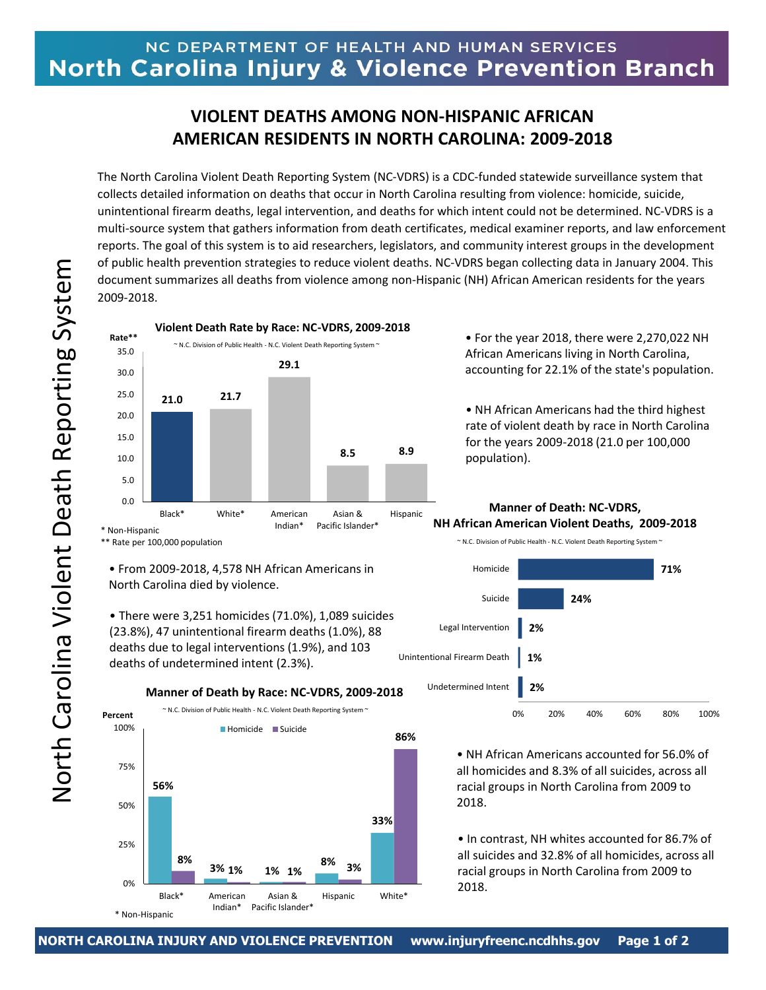## NC DEPARTMENT OF HEALTH AND HUMAN SERVICES North Carolina Injury & Violence Prevention Branch

## **VIOLENT DEATHS AMONG NON-HISPANIC AFRICAN AMERICAN RESIDENTS IN NORTH CAROLINA: 2009-2018**

The North Carolina Violent Death Reporting System (NC-VDRS) is a CDC-funded statewide surveillance system that collects detailed information on deaths that occur in North Carolina resulting from violence: homicide, suicide, unintentional firearm deaths, legal intervention, and deaths for which intent could not be determined. NC-VDRS is a multi-source system that gathers information from death certificates, medical examiner reports, and law enforcement reports. The goal of this system is to aid researchers, legislators, and community interest groups in the development of public health prevention strategies to reduce violent deaths. NC-VDRS began collecting data in January 2004. This document summarizes all deaths from violence among non-Hispanic (NH) African American residents for the years 2009-2018.

**21.0 21.7 29.1 8.5 8.9** 0.0 5.0 10.0 15.0 20.0 25.0 30.0 35.0 Black\* White\* American Indian\* Asian & Pacific Islander\* Hispanic **Violent Death Rate by Race: NC-VDRS, 2009-2018**  $\sim$  N.C. Division of Public Health - N.C. Violent Death Reporting System  $\sim$ **Rate\*\*** \* Non-Hispanic \*\* Rate per 100,000 population

• From 2009-2018, 4,578 NH African Americans in North Carolina died by violence.

• There were 3,251 homicides (71.0%), 1,089 suicides (23.8%), 47 unintentional firearm deaths (1.0%), 88 deaths due to legal interventions (1.9%), and 103 deaths of undetermined intent (2.3%).



• For the year 2018, there were 2,270,022 NH African Americans living in North Carolina, accounting for 22.1% of the state's population.

• NH African Americans had the third highest rate of violent death by race in North Carolina for the years 2009-2018 (21.0 per 100,000 population).



• NH African Americans accounted for 56.0% of all homicides and 8.3% of all suicides, across all racial groups in North Carolina from 2009 to 2018.

• In contrast, NH whites accounted for 86.7% of all suicides and 32.8% of all homicides, across all racial groups in North Carolina from 2009 to 2018.

**M Manner of Death: NC-VDRS, NH African American Violent Deaths, 2009-2018**